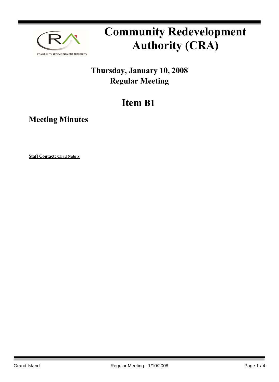

# **Community Redevelopment Authority (CRA)**

### **Thursday, January 10, 2008 Regular Meeting**

## **Item B1**

**Meeting Minutes**

**Staff Contact: Chad Nabity**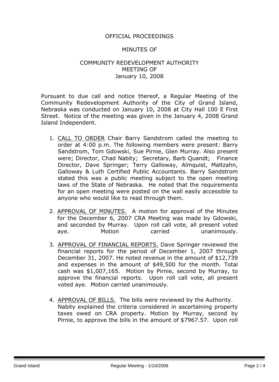#### OFFICIAL PROCEEDINGS

#### MINUTES OF

#### COMMUNITY REDEVELOPMENT AUTHORITY MEETING OF January 10, 2008

Pursuant to due call and notice thereof, a Regular Meeting of the Community Redevelopment Authority of the City of Grand Island, Nebraska was conducted on January 10, 2008 at City Hall 100 E First Street. Notice of the meeting was given in the January 4, 2008 Grand Island Independent.

- 1. CALL TO ORDER Chair Barry Sandstrom called the meeting to order at 4:00 p.m. The following members were present: Barry Sandstrom, Tom Gdowski, Sue Pirnie, Glen Murray. Also present were; Director, Chad Nabity; Secretary, Barb Quandt; Finance Director, Dave Springer; Terry Galloway, Almquist, Maltzahn, Galloway & Luth Certified Public Accountants. Barry Sandstrom stated this was a public meeting subject to the open meeting laws of the State of Nebraska. He noted that the requirements for an open meeting were posted on the wall easily accessible to anyone who would like to read through them.
- 2. APPROVAL OF MINUTES. A motion for approval of the Minutes for the December 6, 2007 CRA Meeting was made by Gdowski, and seconded by Murray. Upon roll call vote, all present voted aye. Motion carried unanimously.
- 3. APPROVAL OF FINANCIAL REPORTS. Dave Springer reviewed the financial reports for the period of December 1, 2007 through December 31, 2007. He noted revenue in the amount of \$12,739 and expenses in the amount of \$49,500 for the month. Total cash was \$1,007,165. Motion by Pirnie, second by Murray, to approve the financial reports. Upon roll call vote, all present voted aye. Motion carried unanimously.
- 4. APPROVAL OF BILLS. The bills were reviewed by the Authority. Nabity explained the criteria considered in ascertaining property taxes owed on CRA property. Motion by Murray, second by Pirnie, to approve the bills in the amount of \$7967.57. Upon roll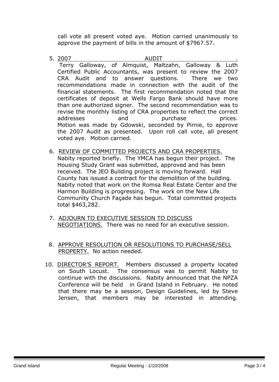call vote all present voted aye. Motion carried unanimously to approve the payment of bills in the amount of \$7967.57.

- 5. 2007 AUDIT . Terry Galloway, of Almquist, Maltzahn, Galloway & Luth Certified Public Accountants, was present to review the 2007 CRA Audit and to answer questions. There we two recommendations made in connection with the audit of the financial statements. The first recommendation noted that the certificates of deposit at Wells Fargo Bank should have more than one authorized signer. The second recommendation was to revise the monthly listing of CRA properties to reflect the correct addresses and purchase prices. Motion was made by Gdowski, seconded by Pirnie, to approve the 2007 Audit as presented. Upon roll call vote, all present voted aye. Motion carried.
- 6. REVIEW OF COMMITTED PROJECTS AND CRA PROPERTIES. Nabity reported briefly. The YMCA has begun their project. The Housing Study Grant was submitted, approved and has been received. The JEO Building project is moving forward. Hall County has issued a contract for the demolition of the building. Nabity noted that work on the Romsa Real Estate Center and the Harmon Building is progressing. The work on the New Life Community Church Façade has begun. Total committed projects total \$463,282.
- 7. ADJOURN TO EXECUTIVE SESSION TO DISCUSS NEGOTIATIONS. There was no need for an executive session.
- 8. APPROVE RESOLUTION OR RESOLUTIONS TO PURCHASE/SELL PROPERTY. No action needed.
- 10. DIRECTOR'S REPORT. Members discussed a property located on South Locust. The consensus was to permit Nabity to continue with the discussions. Nabity announced that the NPZA Conference will be held in Grand Island in February. He noted that there may be a session, Design Guidelines, led by Steve Jensen, that members may be interested in attending.